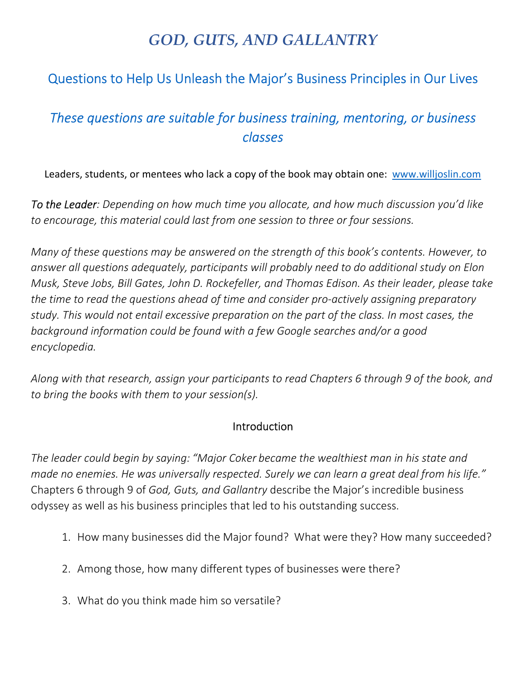# *GOD, GUTS, AND GALLANTRY*

### Questions to Help Us Unleash the Major's Business Principles in Our Lives

## *These questions are suitable for business training, mentoring, or business classes*

Leaders, students, or mentees who lack a copy of the book may obtain one: www.willjoslin.com

*To the Leader: Depending on how much time you allocate, and how much discussion you'd like to encourage, this material could last from one session to three or four sessions.* 

*Many of these questions may be answered on the strength of this book's contents. However, to answer all questions adequately, participants will probably need to do additional study on Elon Musk, Steve Jobs, Bill Gates, John D. Rockefeller, and Thomas Edison. As their leader, please take the time to read the questions ahead of time and consider pro-actively assigning preparatory study. This would not entail excessive preparation on the part of the class. In most cases, the background information could be found with a few Google searches and/or a good encyclopedia.* 

*Along with that research, assign your participants to read Chapters 6 through 9 of the book, and to bring the books with them to your session(s).* 

#### Introduction

*The leader could begin by saying: "Major Coker became the wealthiest man in his state and made no enemies. He was universally respected. Surely we can learn a great deal from his life."*  Chapters 6 through 9 of *God, Guts, and Gallantry* describe the Major's incredible business odyssey as well as his business principles that led to his outstanding success.

- 1. How many businesses did the Major found? What were they? How many succeeded?
- 2. Among those, how many different types of businesses were there?
- 3. What do you think made him so versatile?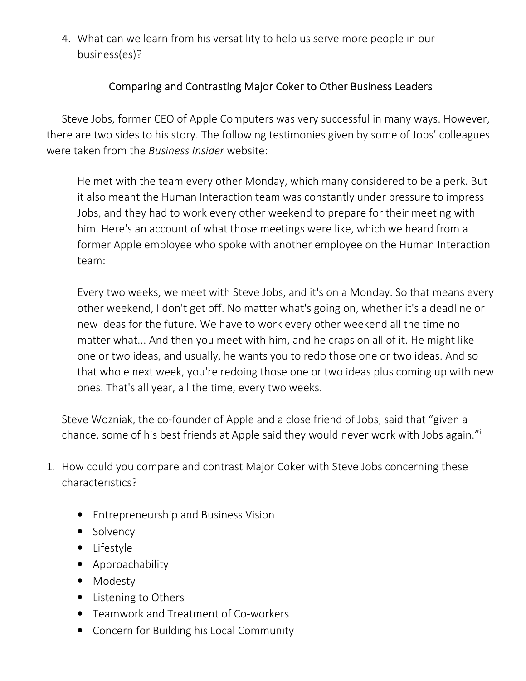4. What can we learn from his versatility to help us serve more people in our business(es)?

#### Comparing and Contrasting Major Coker to Other Business Leaders

Steve Jobs, former CEO of Apple Computers was very successful in many ways. However, there are two sides to his story. The following testimonies given by some of Jobs' colleagues were taken from the *Business Insider* website:

He met with the team every other Monday, which many considered to be a perk. But it also meant the Human Interaction team was constantly under pressure to impress Jobs, and they had to work every other weekend to prepare for their meeting with him. Here's an account of what those meetings were like, which we heard from a former Apple employee who spoke with another employee on the Human Interaction team:

Every two weeks, we meet with Steve Jobs, and it's on a Monday. So that means every other weekend, I don't get off. No matter what's going on, whether it's a deadline or new ideas for the future. We have to work every other weekend all the time no matter what... And then you meet with him, and he craps on all of it. He might like one or two ideas, and usually, he wants you to redo those one or two ideas. And so that whole next week, you're redoing those one or two ideas plus coming up with new ones. That's all year, all the time, every two weeks.

Steve Wozniak, the co-founder of Apple and a close friend of Jobs, said that "given a chance, some of his best friends at Apple said they would never work with Jobs again."<sup>i</sup>

- 1. How could you compare and contrast Major Coker with Steve Jobs concerning these characteristics?
	- Entrepreneurship and Business Vision
	- Solvency
	- Lifestyle
	- Approachability
	- Modesty
	- Listening to Others
	- Teamwork and Treatment of Co-workers
	- Concern for Building his Local Community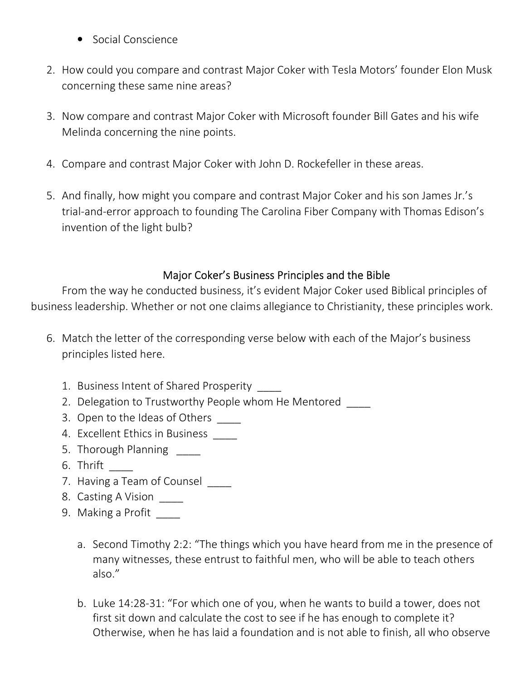- Social Conscience
- 2. How could you compare and contrast Major Coker with Tesla Motors' founder Elon Musk concerning these same nine areas?
- 3. Now compare and contrast Major Coker with Microsoft founder Bill Gates and his wife Melinda concerning the nine points.
- 4. Compare and contrast Major Coker with John D. Rockefeller in these areas.
- 5. And finally, how might you compare and contrast Major Coker and his son James Jr.'s trial-and-error approach to founding The Carolina Fiber Company with Thomas Edison's invention of the light bulb?

#### Major Coker's Business Principles and the Bible

From the way he conducted business, it's evident Major Coker used Biblical principles of business leadership. Whether or not one claims allegiance to Christianity, these principles work.

- 6. Match the letter of the corresponding verse below with each of the Major's business principles listed here.
	- 1. Business Intent of Shared Prosperity
	- 2. Delegation to Trustworthy People whom He Mentored
	- 3. Open to the Ideas of Others
	- 4. Excellent Ethics in Business \_\_\_\_
	- 5. Thorough Planning
	- 6. Thrift \_\_\_\_
	- 7. Having a Team of Counsel
	- 8. Casting A Vision \_\_\_\_
	- 9. Making a Profit
		- a. Second Timothy 2:2: "The things which you have heard from me in the presence of many witnesses, these entrust to faithful men, who will be able to teach others also."
		- b. Luke 14:28-31: "For which one of you, when he wants to build a tower, does not first sit down and calculate the cost to see if he has enough to complete it? Otherwise, when he has laid a foundation and is not able to finish, all who observe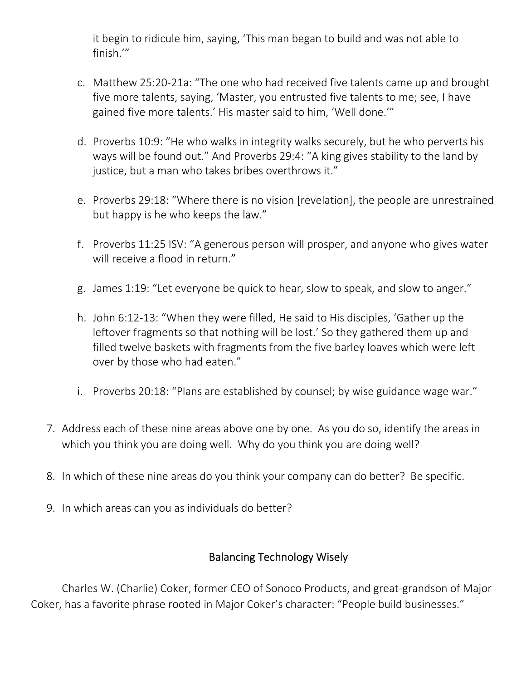it begin to ridicule him, saying, 'This man began to build and was not able to finish.'"

- c. Matthew 25:20-21a: "The one who had received five talents came up and brought five more talents, saying, 'Master, you entrusted five talents to me; see, I have gained five more talents.' His master said to him, 'Well done.'"
- d. Proverbs 10:9: "He who walks in integrity walks securely, but he who perverts his ways will be found out." And Proverbs 29:4: "A king gives stability to the land by justice, but a man who takes bribes overthrows it."
- e. Proverbs 29:18: "Where there is no vision [revelation], the people are unrestrained but happy is he who keeps the law."
- f. Proverbs 11:25 ISV: "A generous person will prosper, and anyone who gives water will receive a flood in return."
- g. James 1:19: "Let everyone be quick to hear, slow to speak, and slow to anger."
- h. John 6:12-13: "When they were filled, He said to His disciples, 'Gather up the leftover fragments so that nothing will be lost.' So they gathered them up and filled twelve baskets with fragments from the five barley loaves which were left over by those who had eaten."
- i. Proverbs 20:18: "Plans are established by counsel; by wise guidance wage war."
- 7. Address each of these nine areas above one by one. As you do so, identify the areas in which you think you are doing well. Why do you think you are doing well?
- 8. In which of these nine areas do you think your company can do better? Be specific.
- 9. In which areas can you as individuals do better?

#### Balancing Technology Wisely

Charles W. (Charlie) Coker, former CEO of Sonoco Products, and great-grandson of Major Coker, has a favorite phrase rooted in Major Coker's character: "People build businesses."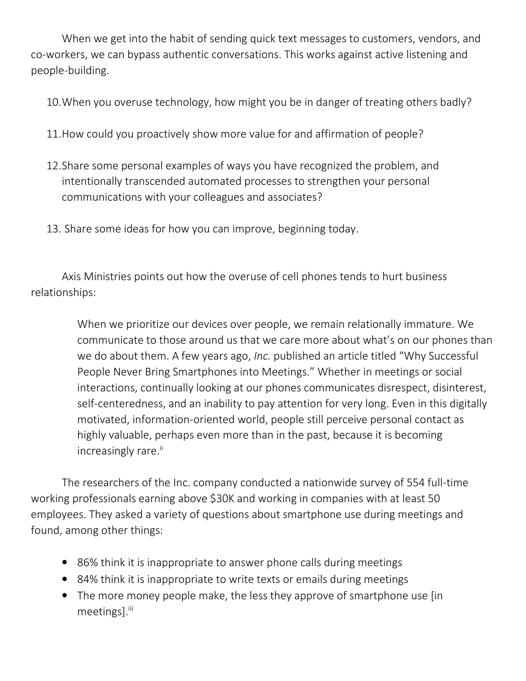When we get into the habit of sending quick text messages to customers, vendors, and co-workers, we can bypass authentic conversations. This works against active listening and people-building.

10.When you overuse technology, how might you be in danger of treating others badly?

- 11.How could you proactively show more value for and affirmation of people?
- 12.Share some personal examples of ways you have recognized the problem, and intentionally transcended automated processes to strengthen your personal communications with your colleagues and associates?
- 13. Share some ideas for how you can improve, beginning today.

Axis Ministries points out how the overuse of cell phones tends to hurt business relationships:

> When we prioritize our devices over people, we remain relationally immature. We communicate to those around us that we care more about what's on our phones than we do about them. A few years ago, *Inc.* published an article titled "Why Successful People Never Bring Smartphones into Meetings." Whether in meetings or social interactions, continually looking at our phones communicates disrespect, disinterest, self-centeredness, and an inability to pay attention for very long. Even in this digitally motivated, information-oriented world, people still perceive personal contact as highly valuable, perhaps even more than in the past, because it is becoming increasingly rare.<sup>ii</sup>

The researchers of the Inc. company conducted a nationwide survey of 554 full-time working professionals earning above \$30K and working in companies with at least 50 employees. They asked a variety of questions about smartphone use during meetings and found, among other things:

- 86% think it is inappropriate to answer phone calls during meetings
- 84% think it is inappropriate to write texts or emails during meetings
- The more money people make, the less they approve of smartphone use [in] meetings].<sup>iii</sup>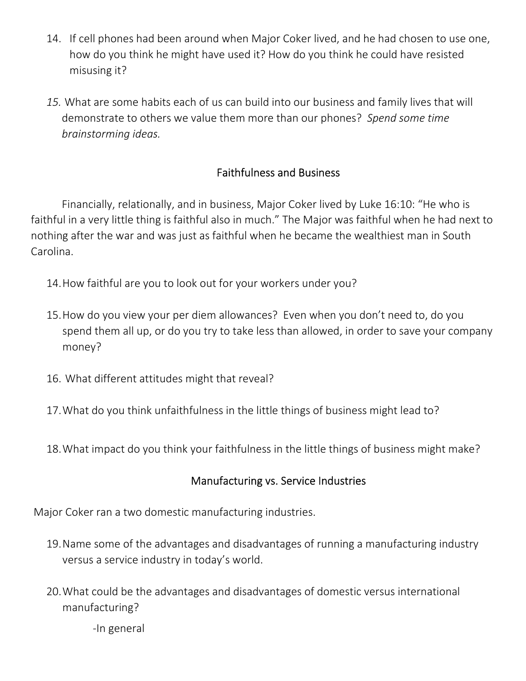- 14. If cell phones had been around when Major Coker lived, and he had chosen to use one, how do you think he might have used it? How do you think he could have resisted misusing it?
- *15.* What are some habits each of us can build into our business and family lives that will demonstrate to others we value them more than our phones? *Spend some time brainstorming ideas.*

#### Faithfulness and Business

Financially, relationally, and in business, Major Coker lived by Luke 16:10: "He who is faithful in a very little thing is faithful also in much." The Major was faithful when he had next to nothing after the war and was just as faithful when he became the wealthiest man in South Carolina.

- 14.How faithful are you to look out for your workers under you?
- 15.How do you view your per diem allowances? Even when you don't need to, do you spend them all up, or do you try to take less than allowed, in order to save your company money?
- 16. What different attitudes might that reveal?
- 17.What do you think unfaithfulness in the little things of business might lead to?
- 18.What impact do you think your faithfulness in the little things of business might make?

#### Manufacturing vs. Service Industries

Major Coker ran a two domestic manufacturing industries.

- 19.Name some of the advantages and disadvantages of running a manufacturing industry versus a service industry in today's world.
- 20.What could be the advantages and disadvantages of domestic versus international manufacturing?

-In general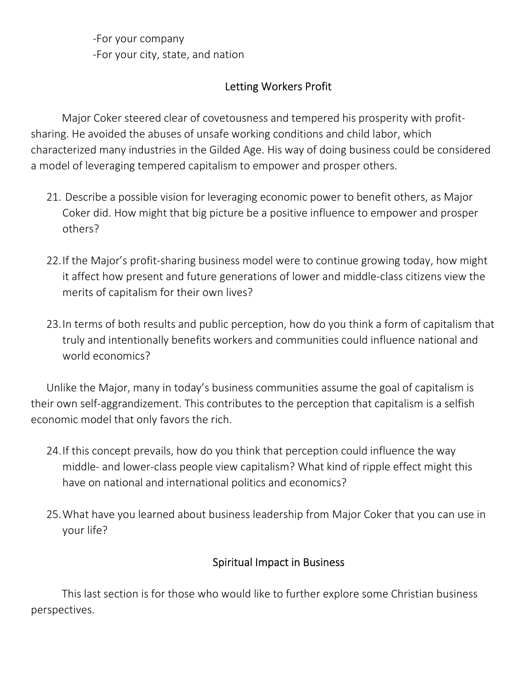-For your company -For your city, state, and nation

#### Letting Workers Profit

Major Coker steered clear of covetousness and tempered his prosperity with profitsharing. He avoided the abuses of unsafe working conditions and child labor, which characterized many industries in the Gilded Age. His way of doing business could be considered a model of leveraging tempered capitalism to empower and prosper others.

- 21. Describe a possible vision for leveraging economic power to benefit others, as Major Coker did. How might that big picture be a positive influence to empower and prosper others?
- 22.If the Major's profit-sharing business model were to continue growing today, how might it affect how present and future generations of lower and middle-class citizens view the merits of capitalism for their own lives?
- 23.In terms of both results and public perception, how do you think a form of capitalism that truly and intentionally benefits workers and communities could influence national and world economics?

Unlike the Major, many in today's business communities assume the goal of capitalism is their own self-aggrandizement. This contributes to the perception that capitalism is a selfish economic model that only favors the rich.

- 24.If this concept prevails, how do you think that perception could influence the way middle- and lower-class people view capitalism? What kind of ripple effect might this have on national and international politics and economics?
- 25.What have you learned about business leadership from Major Coker that you can use in your life?

#### Spiritual Impact in Business

This last section is for those who would like to further explore some Christian business perspectives.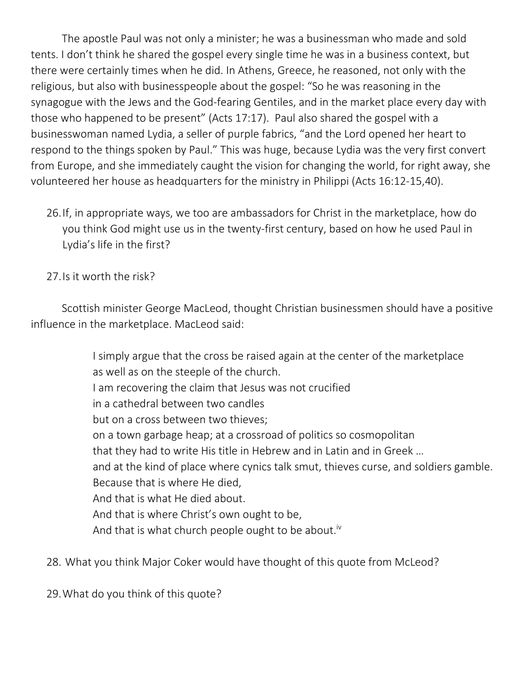The apostle Paul was not only a minister; he was a businessman who made and sold tents. I don't think he shared the gospel every single time he was in a business context, but there were certainly times when he did. In Athens, Greece, he reasoned, not only with the religious, but also with businesspeople about the gospel: "So he was reasoning in the synagogue with the Jews and the God-fearing Gentiles, and in the market place every day with those who happened to be present" (Acts 17:17). Paul also shared the gospel with a businesswoman named Lydia, a seller of purple fabrics, "and the Lord opened her heart to respond to the things spoken by Paul." This was huge, because Lydia was the very first convert from Europe, and she immediately caught the vision for changing the world, for right away, she volunteered her house as headquarters for the ministry in Philippi (Acts 16:12-15,40).

26.If, in appropriate ways, we too are ambassadors for Christ in the marketplace, how do you think God might use us in the twenty-first century, based on how he used Paul in Lydia's life in the first?

27.Is it worth the risk?

Scottish minister George MacLeod, thought Christian businessmen should have a positive influence in the marketplace. MacLeod said:

> I simply argue that the cross be raised again at the center of the marketplace as well as on the steeple of the church. I am recovering the claim that Jesus was not crucified in a cathedral between two candles but on a cross between two thieves; on a town garbage heap; at a crossroad of politics so cosmopolitan that they had to write His title in Hebrew and in Latin and in Greek … and at the kind of place where cynics talk smut, thieves curse, and soldiers gamble. Because that is where He died, And that is what He died about. And that is where Christ's own ought to be, And that is what church people ought to be about.<sup>iv</sup>

28. What you think Major Coker would have thought of this quote from McLeod?

29.What do you think of this quote?